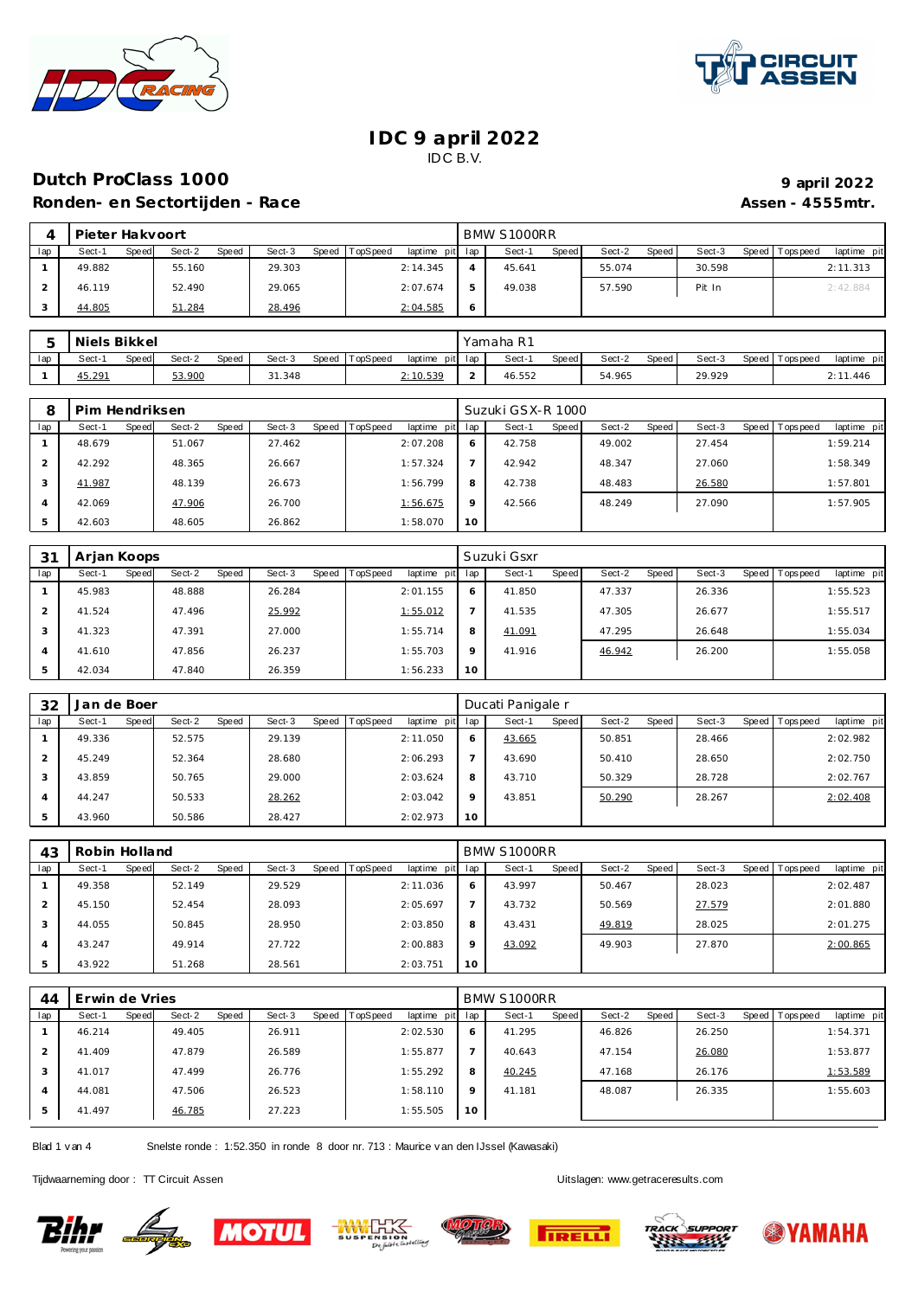



#### **IDC 9 april 2022** IDC B.V.

## **Dutch ProClass 1000 Ronden- en Sectortijden - Race Assen - 4555mtr.**

|                   | 9 april 2022 |
|-------------------|--------------|
| Assen - 4555 mtr. |              |

|     | Pieter Hakvoort |       |        |       |        |       |          |                 |   | BMW S1000RR |              |        |       |        |                 |             |
|-----|-----------------|-------|--------|-------|--------|-------|----------|-----------------|---|-------------|--------------|--------|-------|--------|-----------------|-------------|
| lap | Sect-1          | Speed | Sect-2 | Speed | Sect-3 | Speed | TopSpeed | laptime pit lap |   | Sect-1      | <b>Speed</b> | Sect-2 | Speed | Sect-3 | Speed Tops peed | laptime pit |
|     | 49.882          |       | 55.160 |       | 29.303 |       |          | 2:14.345        |   | 45.641      |              | 55.074 |       | 30.598 |                 | 2:11.313    |
|     | 46.119          |       | 52.490 |       | 29.065 |       |          | 2:07.674        | 5 | 49.038      |              | 57.590 |       | Pit In |                 | 2:42.884    |
|     | 44.805          |       | 51.284 |       | 28.496 |       |          | 2:04.585        | O |             |              |        |       |        |                 |             |

|     | Niels Bikkel    |                 |                 |          |                 | Yamaha R1 |       |        |       |        |                 |                |
|-----|-----------------|-----------------|-----------------|----------|-----------------|-----------|-------|--------|-------|--------|-----------------|----------------|
| lap | Sect-1<br>Speed | Sect-2<br>Speed | Sect-3<br>Speed | TopSpeed | laptime pit lap | Sect-1    | Speed | Sect-2 | Speed | Sect-3 | Speed Tops peed | laptime<br>pit |
|     | 45.291          | 53.900          | 31.348          |          | 2:10.539        | 46.552    |       | 54.965 |       | 29.929 |                 | 2:11.446       |

| 8   | Pim Hendriksen |       |        |       |        |       |          |                 |         | Suzuki GSX-R 1000 |              |        |       |        |                |             |
|-----|----------------|-------|--------|-------|--------|-------|----------|-----------------|---------|-------------------|--------------|--------|-------|--------|----------------|-------------|
| lap | Sect-1         | Speed | Sect-2 | Speed | Sect-3 | Speed | TopSpeed | laptime pit lap |         | Sect-1            | <b>Speed</b> | Sect-2 | Speed | Sect-3 | Speed Topspeed | laptime pit |
|     | 48.679         |       | 51.067 |       | 27.462 |       |          | 2:07.208        | 6       | 42.758            |              | 49.002 |       | 27.454 |                | 1:59.214    |
|     | 42.292         |       | 48.365 |       | 26.667 |       |          | 1:57.324        |         | 42.942            |              | 48.347 |       | 27.060 |                | 1:58.349    |
| 3   | 41.987         |       | 48.139 |       | 26.673 |       |          | 1:56.799        | 8       | 42.738            |              | 48.483 |       | 26.580 |                | 1:57.801    |
| 4   | 42.069         |       | 47.906 |       | 26.700 |       |          | 1:56.675        | $\circ$ | 42.566            |              | 48.249 |       | 27.090 |                | 1:57.905    |
| 5   | 42.603         |       | 48.605 |       | 26.862 |       |          | 1:58.070        | 10      |                   |              |        |       |        |                |             |

| 3 <sup>1</sup> | Arjan Koops |       |        |       |        |       |          |             |         | Suzuki Gsxr |       |        |       |        |       |            |             |
|----------------|-------------|-------|--------|-------|--------|-------|----------|-------------|---------|-------------|-------|--------|-------|--------|-------|------------|-------------|
| lap            | Sect-1      | Speed | Sect-2 | Speed | Sect-3 | Speed | TopSpeed | laptime pit | lap     | Sect-1      | Speed | Sect-2 | Speed | Sect-3 | Speed | Tops pee d | laptime pit |
|                | 45.983      |       | 48.888 |       | 26.284 |       |          | 2:01.155    | 6       | 41.850      |       | 47.337 |       | 26.336 |       |            | 1:55.523    |
| 2.             | 41.524      |       | 47.496 |       | 25.992 |       |          | 1:55.012    |         | 41.535      |       | 47.305 |       | 26.677 |       |            | 1:55.517    |
| 3              | 41.323      |       | 47.391 |       | 27.000 |       |          | 1:55.714    | 8       | 41.091      |       | 47.295 |       | 26.648 |       |            | 1:55.034    |
| 4              | 41.610      |       | 47.856 |       | 26.237 |       |          | 1:55.703    | $\circ$ | 41.916      |       | 46.942 |       | 26.200 |       |            | 1:55.058    |
| 5              | 42.034      |       | 47.840 |       | 26.359 |       |          | 1:56.233    | 10      |             |       |        |       |        |       |            |             |

| 32  | Jan de Boer |       |        |       |        |                |             |     | Ducati Panigale r |       |        |       |        |                |             |
|-----|-------------|-------|--------|-------|--------|----------------|-------------|-----|-------------------|-------|--------|-------|--------|----------------|-------------|
| lap | Sect-1      | Speed | Sect-2 | Speed | Sect-3 | Speed TopSpeed | laptime pit | lap | Sect-1            | Speed | Sect-2 | Speed | Sect-3 | Speed Topspeed | laptime pit |
|     | 49.336      |       | 52.575 |       | 29.139 |                | 2:11.050    | 6   | 43.665            |       | 50.851 |       | 28.466 |                | 2:02.982    |
|     | 45.249      |       | 52.364 |       | 28.680 |                | 2:06.293    |     | 43.690            |       | 50.410 |       | 28.650 |                | 2:02.750    |
| 3   | 43.859      |       | 50.765 |       | 29.000 |                | 2:03.624    | 8   | 43.710            |       | 50.329 |       | 28.728 |                | 2:02.767    |
|     | 44.247      |       | 50.533 |       | 28.262 |                | 2:03.042    | 9   | 43.851            |       | 50.290 |       | 28.267 |                | 2:02.408    |
|     | 43.960      |       | 50.586 |       | 28.427 |                | 2:02.973    | 10  |                   |       |        |       |        |                |             |

| 43                       | Robin Holland |       |        |       |        |       |                 |             |         | BMW S1000RR |       |        |       |        |                |             |
|--------------------------|---------------|-------|--------|-------|--------|-------|-----------------|-------------|---------|-------------|-------|--------|-------|--------|----------------|-------------|
| lap                      | Sect-1        | Speed | Sect-2 | Speed | Sect-3 | Speed | <b>TopSpeed</b> | laptime pit | lap     | Sect-1      | Speed | Sect-2 | Speed | Sect-3 | Speed Topspeed | laptime pit |
|                          | 49.358        |       | 52.149 |       | 29.529 |       |                 | 2:11.036    | 6       | 43.997      |       | 50.467 |       | 28.023 |                | 2:02.487    |
|                          | 45.150        |       | 52.454 |       | 28.093 |       |                 | 2:05.697    |         | 43.732      |       | 50.569 |       | 27.579 |                | 2:01.880    |
| 3                        | 44.055        |       | 50.845 |       | 28.950 |       |                 | 2:03.850    | 8       | 43.431      |       | 49.819 |       | 28.025 |                | 2:01.275    |
| $\overline{\mathcal{A}}$ | 43.247        |       | 49.914 |       | 27.722 |       |                 | 2:00.883    | $\circ$ | 43.092      |       | 49.903 |       | 27.870 |                | 2:00.865    |
|                          | 43.922        |       | 51.268 |       | 28.561 |       |                 | 2:03.751    | 10      |             |       |        |       |        |                |             |

| 44  | Erwin de Vries |       |        |       |        |       |          |             |     | BMW S1000RR |       |        |       |        |       |            |             |
|-----|----------------|-------|--------|-------|--------|-------|----------|-------------|-----|-------------|-------|--------|-------|--------|-------|------------|-------------|
| lap | Sect-1         | Speed | Sect-2 | Speed | Sect-3 | Speed | TopSpeed | laptime pit | lap | Sect-1      | Speed | Sect-2 | Speed | Sect-3 | Speed | Tops pee d | laptime pit |
|     | 46.214         |       | 49.405 |       | 26.911 |       |          | 2:02.530    | 6   | 41.295      |       | 46.826 |       | 26.250 |       |            | 1:54.371    |
|     | 41.409         |       | 47.879 |       | 26.589 |       |          | 1:55.877    |     | 40.643      |       | 47.154 |       | 26.080 |       |            | 1:53.877    |
| 3   | 41.017         |       | 47.499 |       | 26.776 |       |          | 1:55.292    | 8   | 40.245      |       | 47.168 |       | 26.176 |       |            | 1:53.589    |
| 4   | 44.081         |       | 47.506 |       | 26.523 |       |          | 1:58.110    | 9   | 41.181      |       | 48.087 |       | 26.335 |       |            | 1:55.603    |
| 5   | 41.497         |       | 46.785 |       | 27.223 |       |          | 1:55.505    | 10  |             |       |        |       |        |       |            |             |

Blad 1 v an 4 Snelste ronde : 1:52.350 in ronde 8 door nr. 713 : Maurice v an den IJssel (Kawasaki)

Tijdwaarneming door : TT Circuit Assen enter the state of the Uitslagen:<www.getraceresults.com>











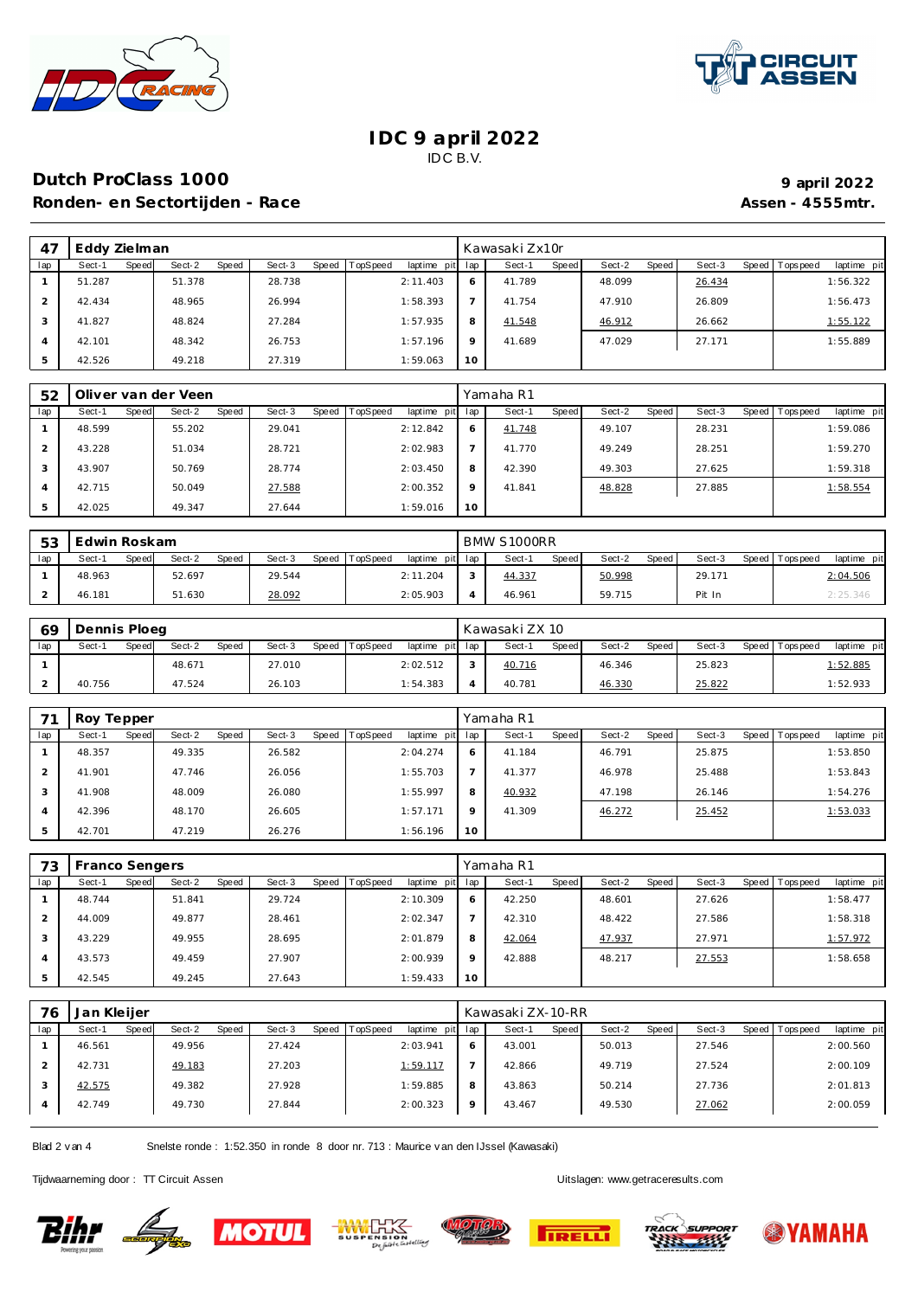



#### **IDC 9 april 2022** IDC B.V.

## **Dutch ProClass 1000 9 1000 9 1000 9 1000 9 1000 9 1000 9 1000 9 1000 9 1000 9 1000 9 1000 9 1000 9 1000 9 1000 9 1000 9 1000 9 1000 9 1000 9 1000 9** Ronden- en Sectortijden - Race **Assen - 4555mtr.** Assen - 4555mtr.

| 47  | Eddy Zielman |       |        |       |        |       |          |                 |         | Kawasaki Zx10r |       |        |       |        |                |             |
|-----|--------------|-------|--------|-------|--------|-------|----------|-----------------|---------|----------------|-------|--------|-------|--------|----------------|-------------|
| lap | Sect-1       | Speed | Sect-2 | Speed | Sect-3 | Speed | TopSpeed | laptime pit lap |         | Sect-1         | Speed | Sect-2 | Speed | Sect-3 | Speed Topspeed | laptime pit |
|     | 51.287       |       | 51.378 |       | 28.738 |       |          | 2:11.403        | 6       | 41.789         |       | 48.099 |       | 26.434 |                | 1:56.322    |
|     | 42.434       |       | 48.965 |       | 26.994 |       |          | 1:58.393        |         | 41.754         |       | 47.910 |       | 26.809 |                | 1:56.473    |
| 3   | 41.827       |       | 48.824 |       | 27.284 |       |          | 1:57.935        | 8       | 41.548         |       | 46.912 |       | 26.662 |                | 1:55.122    |
| 4   | 42.101       |       | 48.342 |       | 26.753 |       |          | 1:57.196        | $\circ$ | 41.689         |       | 47.029 |       | 27.171 |                | 1:55.889    |
|     | 42.526       |       | 49.218 |       | 27.319 |       |          | 1:59.063        | 10      |                |       |        |       |        |                |             |

| 52  |        |       | Oliver van der Veen |       |        |       |          |             |                 | Yamaha R1 |       |        |       |        |                |             |
|-----|--------|-------|---------------------|-------|--------|-------|----------|-------------|-----------------|-----------|-------|--------|-------|--------|----------------|-------------|
| lap | Sect-1 | Speed | Sect-2              | Speed | Sect-3 | Speed | TopSpeed | laptime pit | lap             | Sect-1    | Speed | Sect-2 | Speed | Sect-3 | Speed Topspeed | laptime pit |
|     | 48.599 |       | 55.202              |       | 29.041 |       |          | 2:12.842    | Ô               | 41.748    |       | 49.107 |       | 28.231 |                | 1:59.086    |
|     | 43.228 |       | 51.034              |       | 28.721 |       |          | 2:02.983    |                 | 41.770    |       | 49.249 |       | 28.251 |                | 1:59.270    |
| 3   | 43.907 |       | 50.769              |       | 28.774 |       |          | 2:03.450    | 8               | 42.390    |       | 49.303 |       | 27.625 |                | 1:59.318    |
|     | 42.715 |       | 50.049              |       | 27.588 |       |          | 2:00.352    | $\circ$         | 41.841    |       | 48.828 |       | 27.885 |                | 1:58.554    |
| .5  | 42.025 |       | 49.347              |       | 27.644 |       |          | 1:59.016    | 10 <sup>°</sup> |           |       |        |       |        |                |             |

| 53  | Edwin Roskam    |                 |                 |                                    | BMW S1000RR     |                   |                   |                         |
|-----|-----------------|-----------------|-----------------|------------------------------------|-----------------|-------------------|-------------------|-------------------------|
| lap | Sect-′<br>Speed | Sect-2<br>Speed | Sect-3<br>Speed | <b>TopSpeed</b><br>laptime pit lap | Speed<br>Sect-1 | Sect-2<br>Speed I | Sect-3<br>Speed I | laptime pit<br>Topspeed |
|     | 48.963          | 52.697          | 29.544          | 2:11.204                           | 44.337          | 50.998            | 29.171            | 2:04.506                |
|     | 46.181          | 51.630          | 28.092          | 2:05.903                           | 46.961          | 59.715            | Pit In            | 2:25.346                |

| 69  | Dennis Ploeg |              |        |       |        |                |                 |   | Kawasaki ZX 10 |       |        |       |        |                 |             |
|-----|--------------|--------------|--------|-------|--------|----------------|-----------------|---|----------------|-------|--------|-------|--------|-----------------|-------------|
| lap | Sect-1       | <b>Speed</b> | Sect-2 | Speed | Sect-3 | Speed TopSpeed | laptime pit lap |   | Sect-1         | Speed | Sect-2 | Speed | Sect-3 | Speed Tops peed | laptime pit |
|     |              |              | 48.671 |       | 27.010 |                | 2:02.512        | ⌒ | 40.716         |       | 46.346 |       | 25.823 |                 | 1:52.885    |
|     | 40.756       |              | 47.524 |       | 26.103 |                | 1:54.383        |   | 40.781         |       | 46.330 |       | 25.822 |                 | 1:52.933    |

|                | Roy Tepper      |                 |                     |                                |         | Yamaha R1       |                 |        |                                |
|----------------|-----------------|-----------------|---------------------|--------------------------------|---------|-----------------|-----------------|--------|--------------------------------|
| lap            | Speed<br>Sect-1 | Sect-2<br>Speed | Speed   T<br>Sect-3 | <b>TopSpeed</b><br>laptime pit | lap     | Speed<br>Sect-1 | Speed<br>Sect-2 | Sect-3 | Speed Tops peed<br>laptime pit |
|                | 48.357          | 49.335          | 26.582              | 2:04.274                       | 6       | 41.184          | 46.791          | 25.875 | 1:53.850                       |
|                | 41.901          | 47.746          | 26.056              | 1:55.703                       |         | 41.377          | 46.978          | 25.488 | 1:53.843                       |
| 3              | 41.908          | 48.009          | 26.080              | 1:55.997                       | 8       | 40.932          | 47.198          | 26.146 | 1:54.276                       |
| $\overline{4}$ | 42.396          | 48.170          | 26.605              | 1:57.171                       | $\circ$ | 41.309          | 46.272          | 25.452 | 1:53.033                       |
| 5              | 42.701          | 47.219          | 26.276              | 1:56.196                       | 10      |                 |                 |        |                                |

| 73  | Franco Sengers |       |        |       |        |       |          |                 |         | Yamaha R1 |       |        |       |        |                |             |
|-----|----------------|-------|--------|-------|--------|-------|----------|-----------------|---------|-----------|-------|--------|-------|--------|----------------|-------------|
| lap | Sect-1         | Speed | Sect-2 | Speed | Sect-3 | Speed | TopSpeed | laptime pit lap |         | Sect-1    | Speed | Sect-2 | Speed | Sect-3 | Speed Topspeed | laptime pit |
|     | 48.744         |       | 51.841 |       | 29.724 |       |          | 2:10.309        | 6       | 42.250    |       | 48.601 |       | 27.626 |                | 1:58.477    |
|     | 44.009         |       | 49.877 |       | 28.461 |       |          | 2:02.347        |         | 42.310    |       | 48.422 |       | 27.586 |                | 1:58.318    |
|     | 43.229         |       | 49.955 |       | 28.695 |       |          | 2:01.879        | 8       | 42.064    |       | 47.937 |       | 27.971 |                | 1:57.972    |
|     | 43.573         |       | 49.459 |       | 27.907 |       |          | 2:00.939        | $\circ$ | 42.888    |       | 48.217 |       | 27.553 |                | 1:58.658    |
|     | 42.545         |       | 49.245 |       | 27.643 |       |          | 1:59.433        | 10      |           |       |        |       |        |                |             |

| 76  | Jan Kleijer |       |        |       |        |       |          |             |         | Kawasaki ZX-10-RR |       |        |       |        |       |            |             |
|-----|-------------|-------|--------|-------|--------|-------|----------|-------------|---------|-------------------|-------|--------|-------|--------|-------|------------|-------------|
| lap | Sect-1      | Speed | Sect-2 | Speed | Sect-3 | Speed | TopSpeed | laptime pit | lap     | Sect-1            | Speed | Sect-2 | Speed | Sect-3 | Speed | Tops pee d | laptime pit |
|     | 46.561      |       | 49.956 |       | 27.424 |       |          | 2:03.941    | 6       | 43.001            |       | 50.013 |       | 27.546 |       |            | 2:00.560    |
|     | 42.731      |       | 49.183 |       | 27.203 |       |          | 1:59.117    |         | 42.866            |       | 49.719 |       | 27.524 |       |            | 2:00.109    |
|     | 42.575      |       | 49.382 |       | 27.928 |       |          | 1:59.885    | 8       | 43.863            |       | 50.214 |       | 27.736 |       |            | 2:01.813    |
|     | 42.749      |       | 49.730 |       | 27.844 |       |          | 2:00.323    | $\circ$ | 43.467            |       | 49.530 |       | 27.062 |       |            | 2:00.059    |

Blad 2 v an 4 Snelste ronde : 1:52.350 in ronde 8 door nr. 713 : Maurice v an den IJssel (Kawasaki)

Tijdwaarneming door : TT Circuit Assen enter the state of the Uitslagen:<www.getraceresults.com>











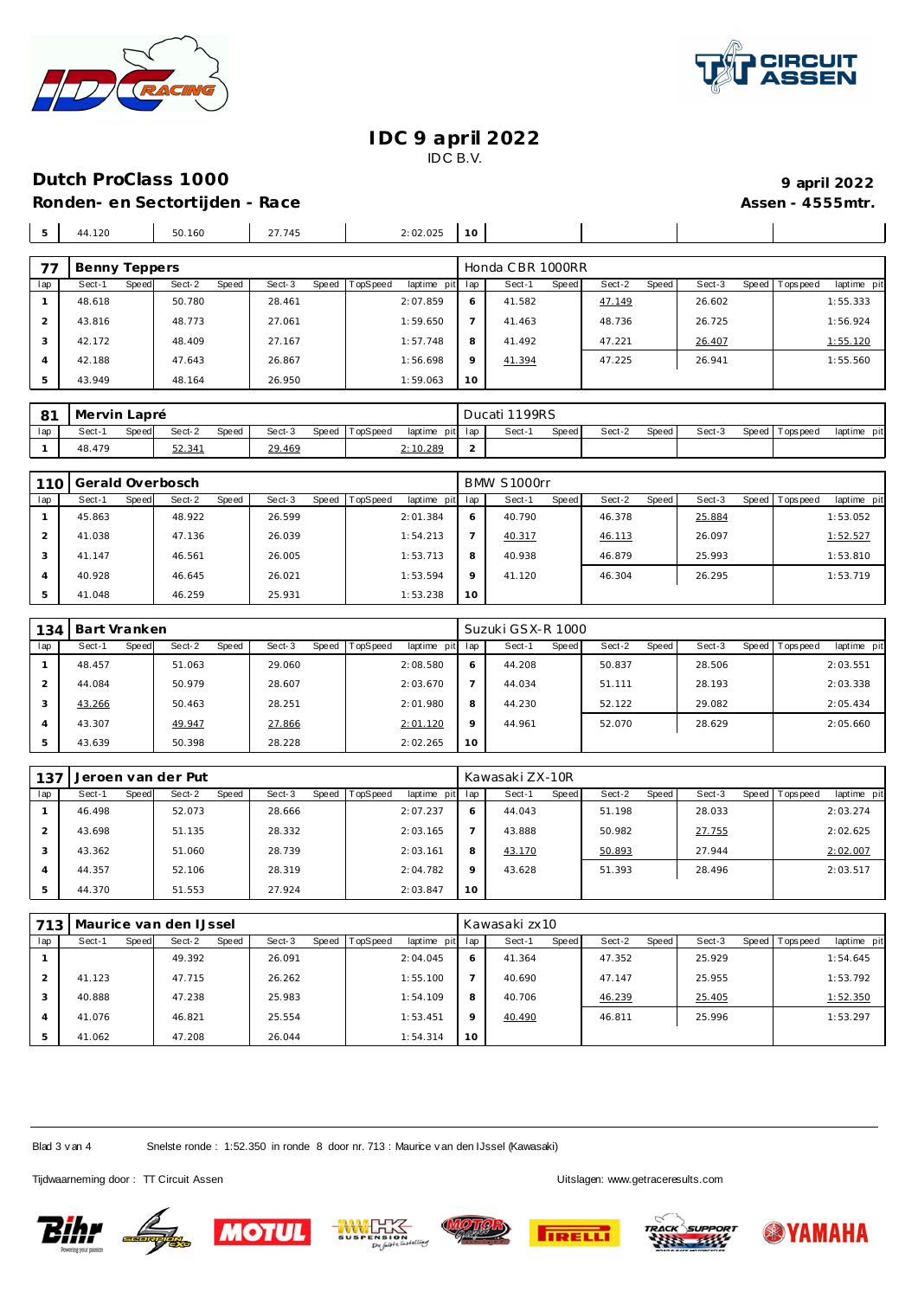



#### **IDC 9 april 2022** IDC B.V.

# **Dutch ProClass 1000 9 1000 9 1000 9 1000 9 1000 9 1000 9 1000 9 1000 9 1000 9 1000 9 1000 9 1000 9 1000 9 1000 9 1000 9 1000 9 1000 9 1000 9 1000 9**

Ronden- en Sectortijden - Race **Assen - 4555mtr.** Assen - 4555mtr. 44.120 50.160 27.745 2:02.025 **10** Benny Teppers **Exercise Exercise Servers** Honda CBR 1000RR lap Sect-1 Speed Sect-2 Speed Sect-3 Speed TopSpeed laptime pit lap Sect-1 Speed Sect-2 Speed Sect-3 Speed Topspeed laptime pit 41.582 47.149 26.602 1:55.333

|        |        |        |          |         |        |        |        | ____     |
|--------|--------|--------|----------|---------|--------|--------|--------|----------|
| 48.618 | 50.780 | 28.461 | 2:07.859 | 6       | 41.582 | 47.149 | 26.602 | 1:55.333 |
| 43.816 | 48.773 | 27.061 | 1:59.650 |         | 41.463 | 48.736 | 26.725 | 1:56.924 |
| 42.172 | 48.409 | 27.167 | 1:57.748 | 8       | 41.492 | 47.221 | 26.407 | 1:55.120 |
| 42.188 | 47.643 | 26.867 | 1:56.698 | $\circ$ | 41.394 | 47.225 | 26.941 | 1:55.560 |
| 43.949 | 48.164 | 26.950 | 1:59.063 | 10      |        |        |        |          |
|        |        |        |          |         |        |        |        |          |

| $\circ$ 1 | Mervin Lapré |       |        |              |        |       |          |                 | Ducati 1199RS |              |        |       |        |                |             |
|-----------|--------------|-------|--------|--------------|--------|-------|----------|-----------------|---------------|--------------|--------|-------|--------|----------------|-------------|
| lap       | Sect-        | Speed | Sect-2 | <b>Speed</b> | Sect-3 | Speed | TopSpeed | laptime pit lap | Sect-1        | <b>Speed</b> | Sect-2 | Speed | Sect-3 | Speed Topspeed | laptime pit |
|           | 48.479       |       | 52.34' |              | 29.469 |       |          | 2:10.289        |               |              |        |       |        |                |             |

| 110 |        |       | Gerald Overbosch |       |        |                |             |          | BMW S1000rr |       |        |       |        |                  |             |
|-----|--------|-------|------------------|-------|--------|----------------|-------------|----------|-------------|-------|--------|-------|--------|------------------|-------------|
| lap | Sect-1 | Speed | Sect-2           | Speed | Sect-3 | Speed TopSpeed | laptime pit | lap      | Sect-1      | Speed | Sect-2 | Speed | Sect-3 | Speed   Topspeed | laptime pit |
|     | 45.863 |       | 48.922           |       | 26.599 |                | 2:01.384    | O        | 40.790      |       | 46.378 |       | 25.884 |                  | 1:53.052    |
|     | 41.038 |       | 47.136           |       | 26.039 |                | 1:54.213    |          | 40.317      |       | 46.113 |       | 26.097 |                  | 1:52.527    |
|     | 41.147 |       | 46.561           |       | 26.005 |                | 1:53.713    | 8        | 40.938      |       | 46.879 |       | 25.993 |                  | 1:53.810    |
|     | 40.928 |       | 46.645           |       | 26.021 |                | 1:53.594    | $\circ$  | 41.120      |       | 46.304 |       | 26.295 |                  | 1:53.719    |
|     | 41.048 |       | 46.259           |       | 25.931 |                | 1:53.238    | $10^{-}$ |             |       |        |       |        |                  |             |

| 134            | Bart Vranken |       |        |       |        |       |                 |             |              | Suzuki GSX-R 1000 |       |        |       |        |                 |             |
|----------------|--------------|-------|--------|-------|--------|-------|-----------------|-------------|--------------|-------------------|-------|--------|-------|--------|-----------------|-------------|
| lap            | Sect-1       | Speed | Sect-2 | Speed | Sect-3 | Speed | <b>TopSpeed</b> | laptime pit | lap          | Sect-1            | Speed | Sect-2 | Speed | Sect-3 | Speed Tops peed | laptime pit |
|                | 48.457       |       | 51.063 |       | 29.060 |       |                 | 2:08.580    | <sup>6</sup> | 44.208            |       | 50.837 |       | 28.506 |                 | 2:03.551    |
| $\overline{2}$ | 44.084       |       | 50.979 |       | 28.607 |       |                 | 2:03.670    |              | 44.034            |       | 51.111 |       | 28.193 |                 | 2:03.338    |
| 3              | 43.266       |       | 50.463 |       | 28.251 |       |                 | 2:01.980    | 8            | 44.230            |       | 52.122 |       | 29.082 |                 | 2:05.434    |
| 4              | 43.307       |       | 49.947 |       | 27.866 |       |                 | 2:01.120    | 9            | 44.961            |       | 52.070 |       | 28.629 |                 | 2:05.660    |
| 5              | 43.639       |       | 50.398 |       | 28.228 |       |                 | 2:02.265    | 10           |                   |       |        |       |        |                 |             |

| 137 |        |       | Jeroen van der Put |       |        |       |          |             |              | Kawasaki ZX-10R |       |        |       |        |       |            |             |
|-----|--------|-------|--------------------|-------|--------|-------|----------|-------------|--------------|-----------------|-------|--------|-------|--------|-------|------------|-------------|
| lap | Sect-1 | Speed | Sect-2             | Speed | Sect-3 | Speed | TopSpeed | laptime pit | lap          | Sect-1          | Speed | Sect-2 | Speed | Sect-3 | Speed | Tops pee d | laptime pit |
|     | 46.498 |       | 52.073             |       | 28.666 |       |          | 2:07.237    | <sup>6</sup> | 44.043          |       | 51.198 |       | 28.033 |       |            | 2:03.274    |
|     | 43.698 |       | 51.135             |       | 28.332 |       |          | 2:03.165    |              | 43.888          |       | 50.982 |       | 27.755 |       |            | 2:02.625    |
|     | 43.362 |       | 51.060             |       | 28.739 |       |          | 2:03.161    | 8            | 43.170          |       | 50.893 |       | 27.944 |       |            | 2:02.007    |
|     | 44.357 |       | 52.106             |       | 28.319 |       |          | 2:04.782    | $\circ$      | 43.628          |       | 51.393 |       | 28.496 |       |            | 2:03.517    |
|     | 44.370 |       | 51.553             |       | 27.924 |       |          | 2:03.847    | 10           |                 |       |        |       |        |       |            |             |

| 713 |        |       | Maurice van den IJssel |       |        |       |          |                 |         | Kawasaki zx10 |       |        |       |        |                |             |
|-----|--------|-------|------------------------|-------|--------|-------|----------|-----------------|---------|---------------|-------|--------|-------|--------|----------------|-------------|
| lap | Sect-1 | Speed | Sect-2                 | Speed | Sect-3 | Speed | TopSpeed | laptime pit lap |         | Sect-1        | Speed | Sect-2 | Speed | Sect-3 | Speed Topspeed | laptime pit |
|     |        |       | 49.392                 |       | 26.091 |       |          | 2:04.045        | 6       | 41.364        |       | 47.352 |       | 25.929 |                | 1:54.645    |
|     | 41.123 |       | 47.715                 |       | 26.262 |       |          | 1:55.100        |         | 40.690        |       | 47.147 |       | 25.955 |                | 1:53.792    |
|     | 40.888 |       | 47.238                 |       | 25.983 |       |          | 1:54.109        | 8       | 40.706        |       | 46.239 |       | 25.405 |                | 1:52.350    |
|     | 41.076 |       | 46.821                 |       | 25.554 |       |          | 1:53.451        | $\circ$ | 40.490        |       | 46.811 |       | 25.996 |                | 1:53.297    |
|     | 41.062 |       | 47.208                 |       | 26.044 |       |          | 1:54.314        | 10      |               |       |        |       |        |                |             |

Blad 3 v an 4 Snelste ronde : 1:52.350 in ronde 8 door nr. 713 : Maurice v an den IJssel (Kawasaki)

Tijdwaarneming door : TT Circuit Assen Uitslagen:<www.getraceresults.com>